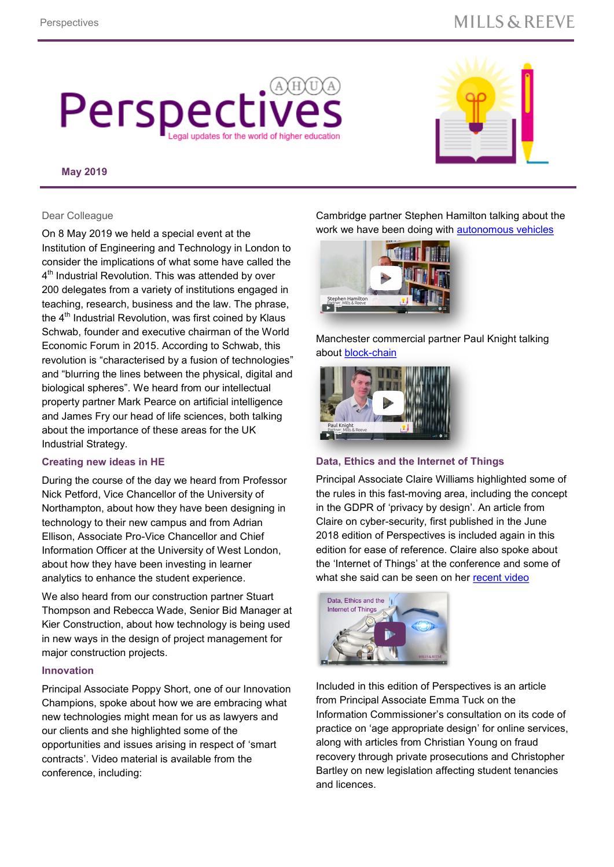### **MILLS & REEVE**

# Perspec updates for the world of higher edu-

#### **May 2019**



Dear Colleague

On 8 May 2019 we held a special event at the Institution of Engineering and Technology in London to consider the implications of what some have called the  $4^{\text{th}}$  Industrial Revolution. This was attended by over 200 delegates from a variety of institutions engaged in teaching, research, business and the law. The phrase, the 4<sup>th</sup> Industrial Revolution, was first coined by Klaus Schwab, founder and executive chairman of the World Economic Forum in 2015. According to Schwab, this revolution is "characterised by a fusion of technologies" and "blurring the lines between the physical, digital and biological spheres". We heard from our intellectual property partner Mark Pearce on artificial intelligence and James Fry our head of life sciences, both talking about the importance of these areas for the UK Industrial Strategy.

#### **Creating new ideas in HE**

During the course of the day we heard from Professor Nick Petford, Vice Chancellor of the University of Northampton, about how they have been designing in technology to their new campus and from Adrian Ellison, Associate Pro-Vice Chancellor and Chief Information Officer at the University of West London, about how they have been investing in learner analytics to enhance the student experience.

We also heard from our construction partner Stuart Thompson and Rebecca Wade, Senior Bid Manager at Kier Construction, about how technology is being used in new ways in the design of project management for major construction projects.

#### **Innovation**

Principal Associate Poppy Short, one of our Innovation Champions, spoke about how we are embracing what new technologies might mean for us as lawyers and our clients and she highlighted some of the opportunities and issues arising in respect of 'smart contracts'. Video material is available from the conference, including:

Cambridge partner Stephen Hamilton talking about the work we have been doing with [autonomous vehicles](https://vimeo.com/333962327/eaa358f3a6)

# Stephen Hamilton  $\rightarrow$  1

[Manchester commercial partner Pau](https://vimeo.com/333962327/eaa358f3a6)l Knight talking about block-[chain](file://mills-reeve.net/vdi/AppSense/UserData/cagam/Documents/Ali Gamble Personal)



#### **[Data, Ethics and the Internet of Th](https://vimeo.com/333961590/4e54cd0602)ings**

Principal Associate Claire Williams highlighted some of the rules in this fast-moving area, including the concept in the GDPR of 'privacy by design'. An article from Claire on cyber-security, first published in the June 2018 edition of Perspectives is included again in this edition for ease of reference. Claire also spoke about the 'Internet of Things' at the conference and some of what she said can be seen on her [recent video](https://vimeo.com/millsandreeve/review/337735287/9430109a6e)



Included in this edition of Perspectives is an article from Principal Associate Emma Tuck on the Information Commissioner's consultation on its code of practice on 'age appropriate design' for online services, along with articles from Christian Young on fraud recovery through private prosecutions and Christopher Bartley on new legislation affecting student tenancies and licences.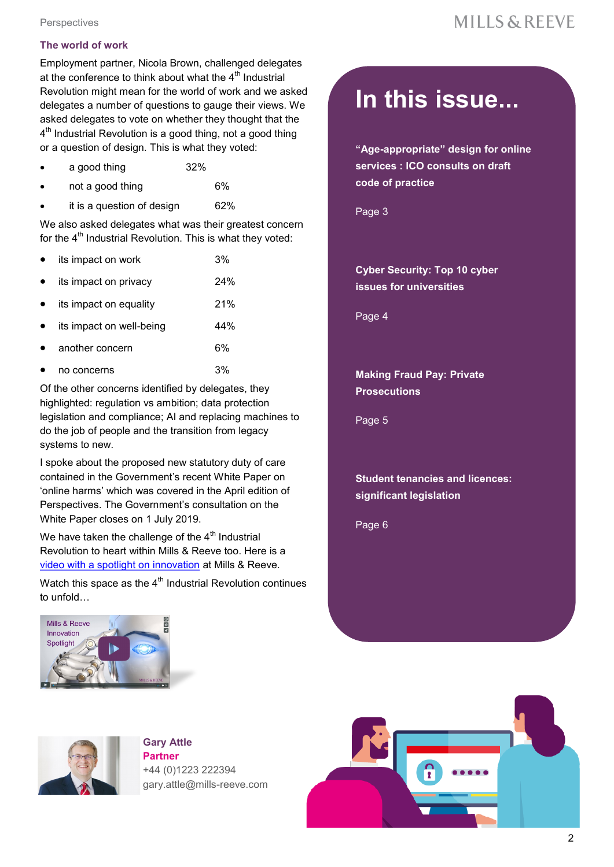**Perspectives** 

#### **The world of work**

Employment partner, Nicola Brown, challenged delegates at the conference to think about what the  $4<sup>th</sup>$  Industrial Revolution might mean for the world of work and we asked delegates a number of questions to gauge their views. We asked delegates to vote on whether they thought that the  $4^{\text{th}}$  Industrial Revolution is a good thing, not a good thing or a question of design. This is what they voted:

- a good thing 32%
- not a good thing 6%
- it is a question of design 62%

We also asked delegates what was their greatest concern for the  $4<sup>th</sup>$  Industrial Revolution. This is what they voted:

- its impact on work 3%
- its impact on privacy 24%
- its impact on equality 21%
- its impact on well-being and the 44%
- another concern 6%
- no concerns 3%

Of the other concerns identified by delegates, they highlighted: regulation vs ambition; data protection legislation and compliance; AI and replacing machines to do the job of people and the transition from legacy systems to new.

I spoke about the proposed new statutory duty of care contained in the Government's recent White Paper on 'online harms' which was covered in the April edition of Perspectives. The Government's consultation on the White Paper closes on 1 July 2019.

We have taken the challenge of the  $4<sup>th</sup>$  Industrial Revolution to heart within Mills & Reeve too. Here is a [video with a spotlight on innovation](https://vimeo.com/333961024/b2f6b343e3) at Mills & Reeve.

Watch this space as the  $4<sup>th</sup>$  Industrial Revolution continues to unfold…



## **In this issue...**

**"Age-appropriate" design for online services : ICO consults on draft code of practice**

Page 3

**Cyber Security: Top 10 cyber issues for universities**

Page 4

**Making Fraud Pay: Private Prosecutions**

Page 5

**Student tenancies and licences: significant legislation** 

Page 6



**Gary Attle Partner** +44 (0)1223 222394 gary.attle@mills-reeve.com

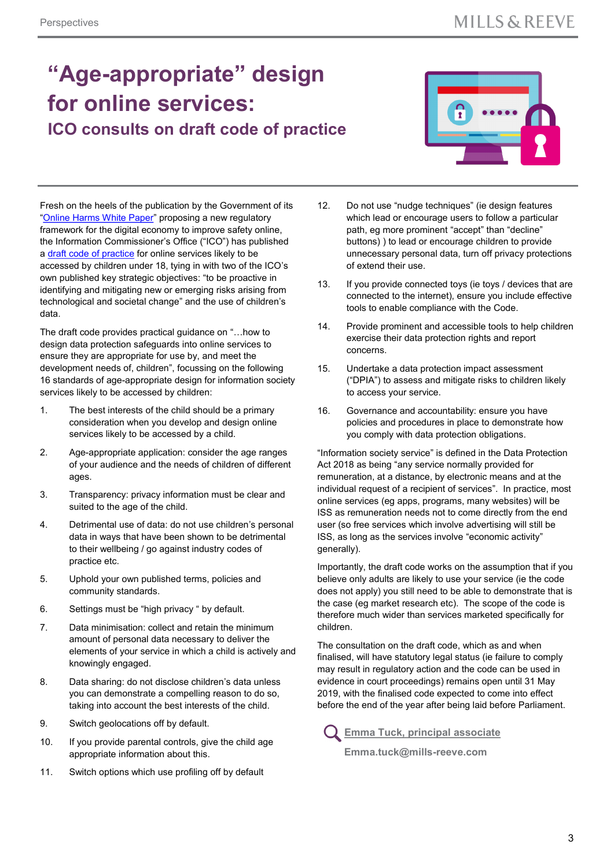### **"Age-appropriate" design for online services: ICO consults on draft code of practice**



Fresh on the heels of the publication by the Government of its "[Online Harms White Paper"](https://www.gov.uk/government/consultations/online-harms-white-paper) proposing a new regulatory framework for the digital economy to improve safety online, the Information Commissioner's Office ("ICO") has published a [draft code of practice](https://ico.org.uk/about-the-ico/ico-and-stakeholder-consultations/age-appropriate-design-a-code-of-practice-for-online-services/) for online services likely to be accessed by children under 18, tying in with two of the ICO's own published key strategic objectives: "to be proactive in identifying and mitigating new or emerging risks arising from technological and societal change" and the use of children's data.

The draft code provides practical guidance on "…how to design data protection safeguards into online services to ensure they are appropriate for use by, and meet the development needs of, children", focussing on the following 16 standards of age-appropriate design for information society services likely to be accessed by children:

- 1. The best interests of the child should be a primary consideration when you develop and design online services likely to be accessed by a child.
- 2. Age-appropriate application: consider the age ranges of your audience and the needs of children of different ages.
- 3. Transparency: privacy information must be clear and suited to the age of the child.
- 4. Detrimental use of data: do not use children's personal data in ways that have been shown to be detrimental to their wellbeing / go against industry codes of practice etc.
- 5. Uphold your own published terms, policies and community standards.
- 6. Settings must be "high privacy " by default.
- 7. Data minimisation: collect and retain the minimum amount of personal data necessary to deliver the elements of your service in which a child is actively and knowingly engaged.
- 8. Data sharing: do not disclose children's data unless you can demonstrate a compelling reason to do so, taking into account the best interests of the child.
- 9. Switch geolocations off by default.
- 10. If you provide parental controls, give the child age appropriate information about this.
- 11. Switch options which use profiling off by default
- 12. Do not use "nudge techniques" (ie design features which lead or encourage users to follow a particular path, eg more prominent "accept" than "decline" buttons) ) to lead or encourage children to provide unnecessary personal data, turn off privacy protections of extend their use.
- 13. If you provide connected toys (ie toys / devices that are connected to the internet), ensure you include effective tools to enable compliance with the Code.
- 14. Provide prominent and accessible tools to help children exercise their data protection rights and report concerns.
- 15. Undertake a data protection impact assessment ("DPIA") to assess and mitigate risks to children likely to access your service.
- 16. Governance and accountability: ensure you have policies and procedures in place to demonstrate how you comply with data protection obligations.

"Information society service" is defined in the Data Protection Act 2018 as being "any service normally provided for remuneration, at a distance, by electronic means and at the individual request of a recipient of services". In practice, most online services (eg apps, programs, many websites) will be ISS as remuneration needs not to come directly from the end user (so free services which involve advertising will still be ISS, as long as the services involve "economic activity" generally).

Importantly, the draft code works on the assumption that if you believe only adults are likely to use your service (ie the code does not apply) you still need to be able to demonstrate that is the case (eg market research etc). The scope of the code is therefore much wider than services marketed specifically for children.

The consultation on the draft code, which as and when finalised, will have statutory legal status (ie failure to comply may result in regulatory action and the code can be used in evidence in court proceedings) remains open until 31 May 2019, with the finalised code expected to come into effect before the end of the year after being laid before Parliament.

**[Emma Tuck, principal associate](https://www.mills-reeve.com/people/emma-tuck)**

 **Emma.tuck@mills-reeve.com**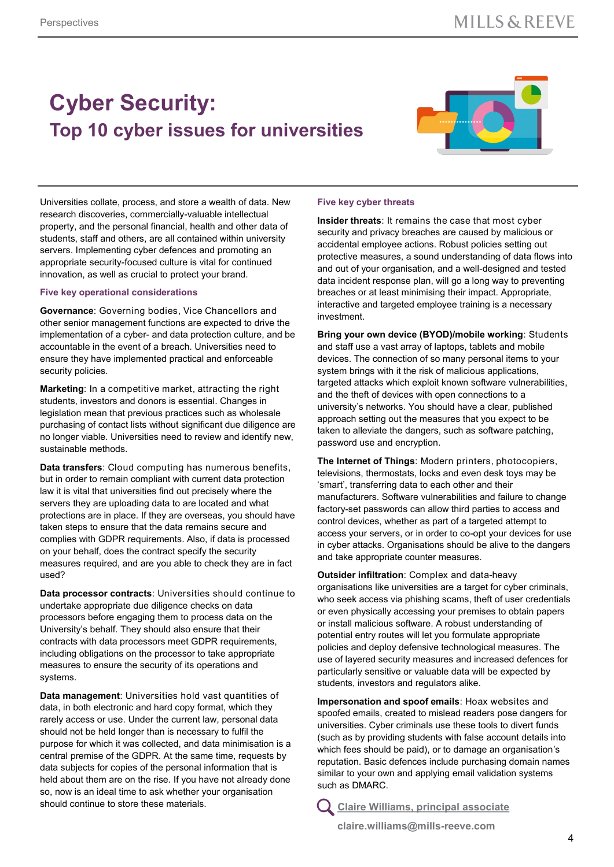### **Cyber Security: Top 10 cyber issues for universities**



Universities collate, process, and store a wealth of data. New research discoveries, commercially-valuable intellectual property, and the personal financial, health and other data of students, staff and others, are all contained within university servers. Implementing cyber defences and promoting an appropriate security-focused culture is vital for continued innovation, as well as crucial to protect your brand.

#### **Five key operational considerations**

**Governance**: Governing bodies, Vice Chancellors and other senior management functions are expected to drive the implementation of a cyber- and data protection culture, and be accountable in the event of a breach. Universities need to ensure they have implemented practical and enforceable security policies.

**Marketing**: In a competitive market, attracting the right students, investors and donors is essential. Changes in legislation mean that previous practices such as wholesale purchasing of contact lists without significant due diligence are no longer viable. Universities need to review and identify new, sustainable methods.

**Data transfers**: Cloud computing has numerous benefits, but in order to remain compliant with current data protection law it is vital that universities find out precisely where the servers they are uploading data to are located and what protections are in place. If they are overseas, you should have taken steps to ensure that the data remains secure and complies with GDPR requirements. Also, if data is processed on your behalf, does the contract specify the security measures required, and are you able to check they are in fact used?

**Data processor contracts**: Universities should continue to undertake appropriate due diligence checks on data processors before engaging them to process data on the University's behalf. They should also ensure that their contracts with data processors meet GDPR requirements, including obligations on the processor to take appropriate measures to ensure the security of its operations and systems.

**Data management:** Universities hold vast quantities of data, in both electronic and hard copy format, which they rarely access or use. Under the current law, personal data should not be held longer than is necessary to fulfil the purpose for which it was collected, and data minimisation is a central premise of the GDPR. At the same time, requests by data subjects for copies of the personal information that is held about them are on the rise. If you have not already done so, now is an ideal time to ask whether your organisation should continue to store these materials.

#### **Five key cyber threats**

**Insider threats**: It remains the case that most cyber security and privacy breaches are caused by malicious or accidental employee actions. Robust policies setting out protective measures, a sound understanding of data flows into and out of your organisation, and a well-designed and tested data incident response plan, will go a long way to preventing breaches or at least minimising their impact. Appropriate, interactive and targeted employee training is a necessary investment.

**Bring your own device (BYOD)/mobile working**: Students and staff use a vast array of laptops, tablets and mobile devices. The connection of so many personal items to your system brings with it the risk of malicious applications, targeted attacks which exploit known software vulnerabilities, and the theft of devices with open connections to a university's networks. You should have a clear, published approach setting out the measures that you expect to be taken to alleviate the dangers, such as software patching, password use and encryption.

**The Internet of Things**: Modern printers, photocopiers, televisions, thermostats, locks and even desk toys may be 'smart', transferring data to each other and their manufacturers. Software vulnerabilities and failure to change factory-set passwords can allow third parties to access and control devices, whether as part of a targeted attempt to access your servers, or in order to co-opt your devices for use in cyber attacks. Organisations should be alive to the dangers and take appropriate counter measures.

**Outsider infiltration**: Complex and data-heavy organisations like universities are a target for cyber criminals, who seek access via phishing scams, theft of user credentials or even physically accessing your premises to obtain papers or install malicious software. A robust understanding of potential entry routes will let you formulate appropriate policies and deploy defensive technological measures. The use of layered security measures and increased defences for particularly sensitive or valuable data will be expected by students, investors and regulators alike.

**Impersonation and spoof emails**: Hoax websites and spoofed emails, created to mislead readers pose dangers for universities. Cyber criminals use these tools to divert funds (such as by providing students with false account details into which fees should be paid), or to damage an organisation's reputation. Basic defences include purchasing domain names similar to your own and applying email validation systems such as DMARC.

**[Claire Williams, principal associate](https://www.mills-reeve.com/people/claire-williams)**

 **claire.williams@mills-reeve.com**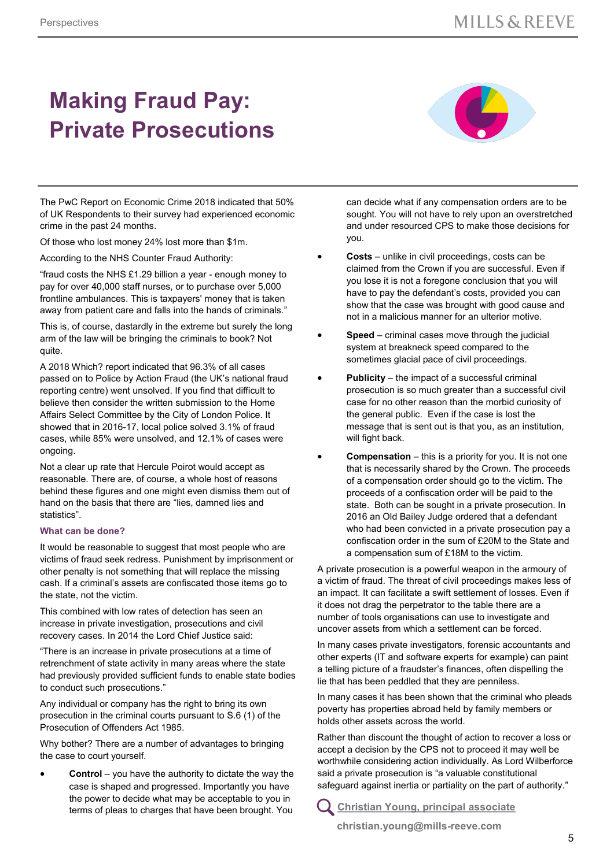## **Making Fraud Pay: Private Prosecutions**



The PwC Report on Economic Crime 2018 indicated that 50% of UK Respondents to their survey had experienced economic crime in the past 24 months.

Of those who lost money 24% lost more than \$1m.

According to the NHS Counter Fraud Authority:

"fraud costs the NHS £1.29 billion a year - enough money to pay for over 40,000 staff nurses, or to purchase over 5,000 frontline ambulances. This is taxpayers' money that is taken away from patient care and falls into the hands of criminals."

This is, of course, dastardly in the extreme but surely the long arm of the law will be bringing the criminals to book? Not quite.

A 2018 Which? report indicated that 96.3% of all cases passed on to Police by Action Fraud (the UK's national fraud reporting centre) went unsolved. If you find that difficult to believe then consider the written submission to the Home Affairs Select Committee by the City of London Police. It showed that in 2016-17, local police solved 3.1% of fraud cases, while 85% were unsolved, and 12.1% of cases were ongoing.

Not a clear up rate that Hercule Poirot would accept as reasonable. There are, of course, a whole host of reasons behind these figures and one might even dismiss them out of hand on the basis that there are "lies, damned lies and statistics".

#### **What can be done?**

It would be reasonable to suggest that most people who are victims of fraud seek redress. Punishment by imprisonment or other penalty is not something that will replace the missing cash. If a criminal's assets are confiscated those items go to the state, not the victim.

This combined with low rates of detection has seen an increase in private investigation, prosecutions and civil recovery cases. In 2014 the Lord Chief Justice said:

"There is an increase in private prosecutions at a time of retrenchment of state activity in many areas where the state had previously provided sufficient funds to enable state bodies to conduct such prosecutions."

Any individual or company has the right to bring its own prosecution in the criminal courts pursuant to S.6 (1) of the Prosecution of Offenders Act 1985.

Why bother? There are a number of advantages to bringing the case to court yourself.

**Control** – you have the authority to dictate the way the case is shaped and progressed. Importantly you have the power to decide what may be acceptable to you in terms of pleas to charges that have been brought. You

can decide what if any compensation orders are to be sought. You will not have to rely upon an overstretched and under resourced CPS to make those decisions for you.

- **Costs**  unlike in civil proceedings, costs can be claimed from the Crown if you are successful. Even if you lose it is not a foregone conclusion that you will have to pay the defendant's costs, provided you can show that the case was brought with good cause and not in a malicious manner for an ulterior motive.
- **Speed**  criminal cases move through the judicial system at breakneck speed compared to the sometimes glacial pace of civil proceedings.
- **Publicity**  the impact of a successful criminal prosecution is so much greater than a successful civil case for no other reason than the morbid curiosity of the general public. Even if the case is lost the message that is sent out is that you, as an institution, will fight back.
- **Compensation**  this is a priority for you. It is not one that is necessarily shared by the Crown. The proceeds of a compensation order should go to the victim. The proceeds of a confiscation order will be paid to the state. Both can be sought in a private prosecution. In 2016 an Old Bailey Judge ordered that a defendant who had been convicted in a private prosecution pay a confiscation order in the sum of £20M to the State and a compensation sum of £18M to the victim.

A private prosecution is a powerful weapon in the armoury of a victim of fraud. The threat of civil proceedings makes less of an impact. It can facilitate a swift settlement of losses. Even if it does not drag the perpetrator to the table there are a number of tools organisations can use to investigate and uncover assets from which a settlement can be forced.

In many cases private investigators, forensic accountants and other experts (IT and software experts for example) can paint a telling picture of a fraudster's finances, often dispelling the lie that has been peddled that they are penniless.

In many cases it has been shown that the criminal who pleads poverty has properties abroad held by family members or holds other assets across the world.

Rather than discount the thought of action to recover a loss or accept a decision by the CPS not to proceed it may well be worthwhile considering action individually. As Lord Wilberforce said a private prosecution is "a valuable constitutional safeguard against inertia or partiality on the part of authority."

**[Christian Young, principal associate](https://www.mills-reeve.com/people/christian-young)**

 **christian.young@mills-reeve.com**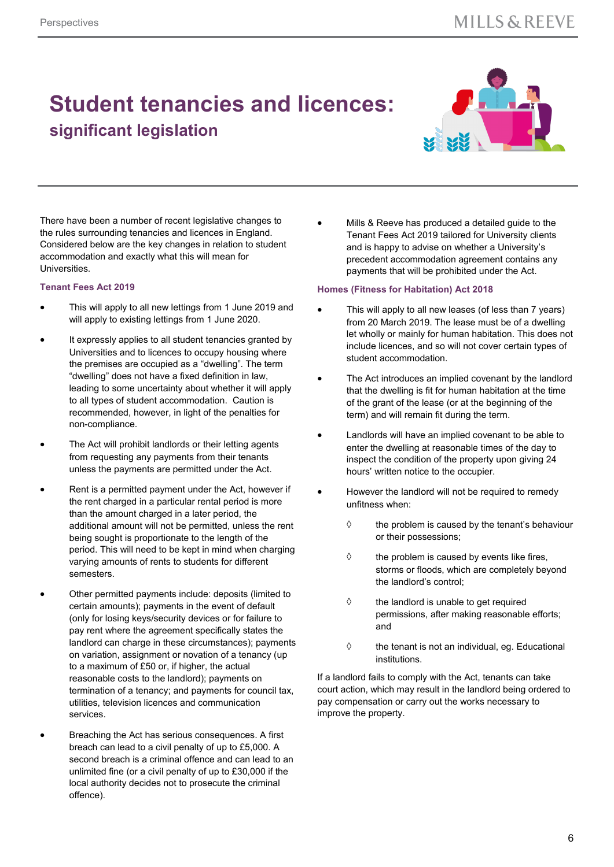### **Student tenancies and licences: significant legislation**



There have been a number of recent legislative changes to the rules surrounding tenancies and licences in England. Considered below are the key changes in relation to student accommodation and exactly what this will mean for Universities.

#### **Tenant Fees Act 2019**

- This will apply to all new lettings from 1 June 2019 and will apply to existing lettings from 1 June 2020.
- It expressly applies to all student tenancies granted by Universities and to licences to occupy housing where the premises are occupied as a "dwelling". The term "dwelling" does not have a fixed definition in law, leading to some uncertainty about whether it will apply to all types of student accommodation. Caution is recommended, however, in light of the penalties for non-compliance.
- The Act will prohibit landlords or their letting agents from requesting any payments from their tenants unless the payments are permitted under the Act.
- Rent is a permitted payment under the Act, however if the rent charged in a particular rental period is more than the amount charged in a later period, the additional amount will not be permitted, unless the rent being sought is proportionate to the length of the period. This will need to be kept in mind when charging varying amounts of rents to students for different semesters.
- Other permitted payments include: deposits (limited to certain amounts); payments in the event of default (only for losing keys/security devices or for failure to pay rent where the agreement specifically states the landlord can charge in these circumstances); payments on variation, assignment or novation of a tenancy (up to a maximum of £50 or, if higher, the actual reasonable costs to the landlord); payments on termination of a tenancy; and payments for council tax, utilities, television licences and communication services.
- Breaching the Act has serious consequences. A first breach can lead to a civil penalty of up to £5,000. A second breach is a criminal offence and can lead to an unlimited fine (or a civil penalty of up to £30,000 if the local authority decides not to prosecute the criminal offence).

 Mills & Reeve has produced a detailed guide to the Tenant Fees Act 2019 tailored for University clients and is happy to advise on whether a University's precedent accommodation agreement contains any payments that will be prohibited under the Act.

#### **Homes (Fitness for Habitation) Act 2018**

- This will apply to all new leases (of less than 7 years) from 20 March 2019. The lease must be of a dwelling let wholly or mainly for human habitation. This does not include licences, and so will not cover certain types of student accommodation.
- The Act introduces an implied covenant by the landlord that the dwelling is fit for human habitation at the time of the grant of the lease (or at the beginning of the term) and will remain fit during the term.
- Landlords will have an implied covenant to be able to enter the dwelling at reasonable times of the day to inspect the condition of the property upon giving 24 hours' written notice to the occupier.
- However the landlord will not be required to remedy unfitness when:
	- $\Diamond$  the problem is caused by the tenant's behaviour or their possessions;
	- $\diamond$  the problem is caused by events like fires, storms or floods, which are completely beyond the landlord's control;
	- $\Diamond$  the landlord is unable to get required permissions, after making reasonable efforts; and
	- $\Diamond$  the tenant is not an individual, eg. Educational institutions.

If a landlord fails to comply with the Act, tenants can take court action, which may result in the landlord being ordered to pay compensation or carry out the works necessary to improve the property.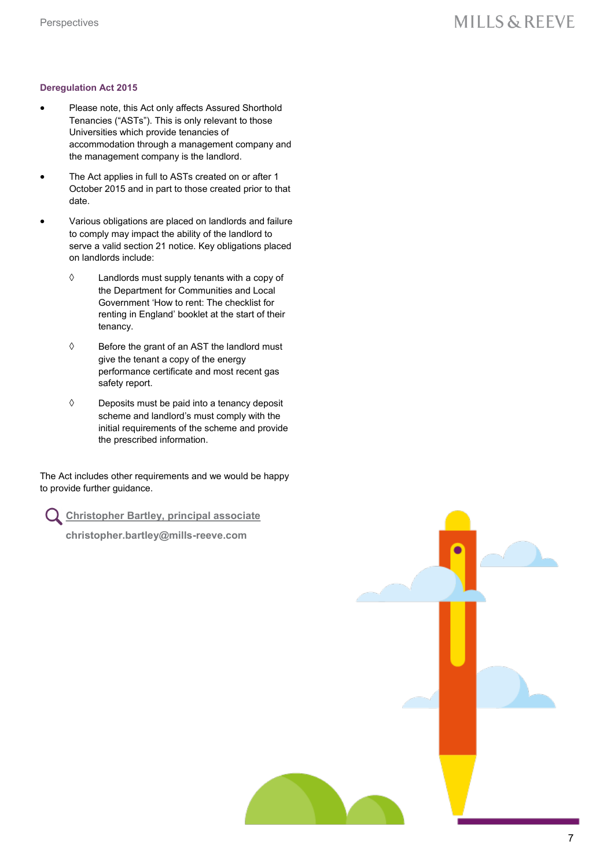### **MILLS & REEVE**

#### **Deregulation Act 2015**

- Please note, this Act only affects Assured Shorthold Tenancies ("ASTs"). This is only relevant to those Universities which provide tenancies of accommodation through a management company and the management company is the landlord.
- The Act applies in full to ASTs created on or after 1 October 2015 and in part to those created prior to that date.
- Various obligations are placed on landlords and failure to comply may impact the ability of the landlord to serve a valid section 21 notice. Key obligations placed on landlords include:
	- $\Diamond$  Landlords must supply tenants with a copy of the Department for Communities and Local Government 'How to rent: The checklist for renting in England' booklet at the start of their tenancy.
	- $\Diamond$  Before the grant of an AST the landlord must give the tenant a copy of the energy performance certificate and most recent gas safety report.
	- $\Diamond$  Deposits must be paid into a tenancy deposit scheme and landlord's must comply with the initial requirements of the scheme and provide the prescribed information.

The Act includes other requirements and we would be happy to provide further guidance.

**[Christopher Bartley, principal associate](https://www.mills-reeve.com/people/christopher-bartley)**

 **christopher.bartley@mills-reeve.com**